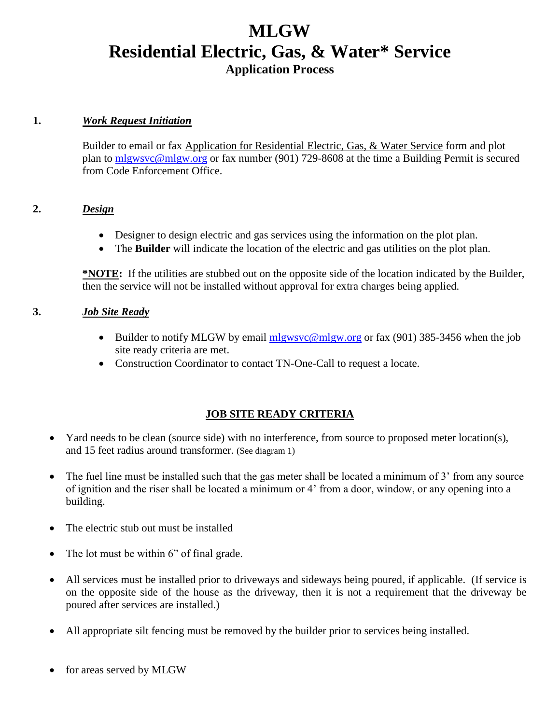### **MLGW Residential Electric, Gas, & Water\* Service Application Process**

#### **1.** *Work Request Initiation*

Builder to email or fax Application for Residential Electric, Gas, & Water Service form and plot plan to [mlgwsvc@mlgw.org](mailto:rstark@mlgw.org) or fax number (901) 729-8608 at the time a Building Permit is secured from Code Enforcement Office.

#### **2.** *Design*

- Designer to design electric and gas services using the information on the plot plan.
- The **Builder** will indicate the location of the electric and gas utilities on the plot plan.

**\*NOTE:** If the utilities are stubbed out on the opposite side of the location indicated by the Builder, then the service will not be installed without approval for extra charges being applied.

#### **3.** *Job Site Ready*

- Builder to notify MLGW by email [mlgwsvc@mlgw.org](mailto:mlgwsvc@mlgw.org) or fax (901) 385-3456 when the job site ready criteria are met.
- Construction Coordinator to contact TN-One-Call to request a locate.

#### **JOB SITE READY CRITERIA**

- Yard needs to be clean (source side) with no interference, from source to proposed meter location(s), and 15 feet radius around transformer. (See diagram 1)
- The fuel line must be installed such that the gas meter shall be located a minimum of 3' from any source of ignition and the riser shall be located a minimum or 4' from a door, window, or any opening into a building.
- The electric stub out must be installed
- The lot must be within 6" of final grade.
- All services must be installed prior to driveways and sideways being poured, if applicable. (If service is on the opposite side of the house as the driveway, then it is not a requirement that the driveway be poured after services are installed.)
- All appropriate silt fencing must be removed by the builder prior to services being installed.
- for areas served by MLGW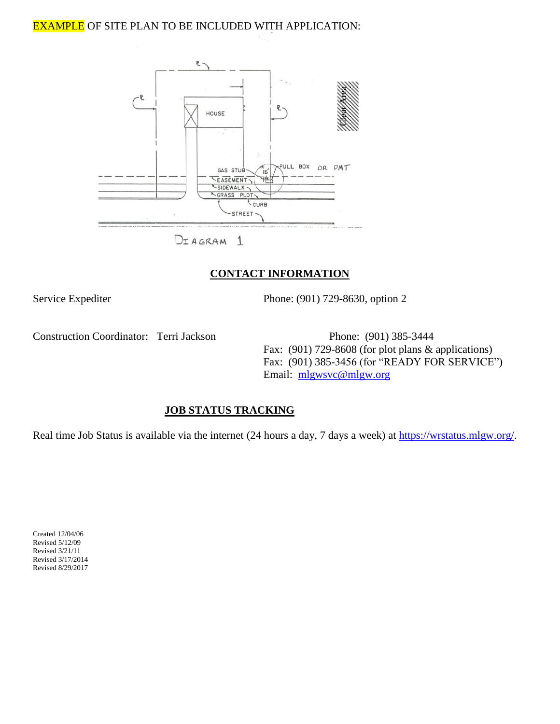#### EXAMPLE OF SITE PLAN TO BE INCLUDED WITH APPLICATION:



#### **CONTACT INFORMATION**

Service Expediter Phone: (901) 729-8630, option 2

Construction Coordinator: Terri Jackson Phone: (901) 385-3444

Fax: (901) 729-8608 (for plot plans & applications) Fax: (901) 385-3456 (for "READY FOR SERVICE") Email: [mlgwsvc@mlgw.org](mailto:Rjohnson@mlgw.org)

#### **JOB STATUS TRACKING**

Real time Job Status is available via the internet (24 hours a day, 7 days a week) at [https://wrstatus.mlgw.org/.](https://wrstatus.mlgw.org/)

Created 12/04/06 Revised 5/12/09 Revised 3/21/11 Revised 3/17/2014 Revised 8/29/2017